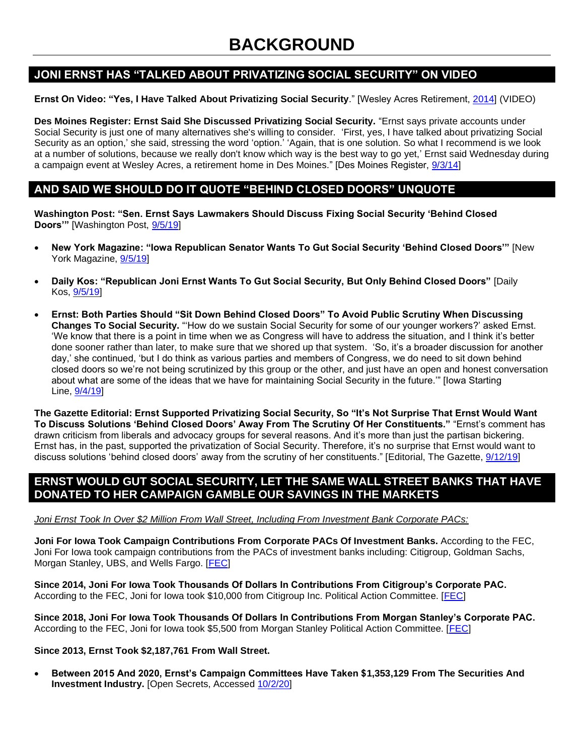# **BACKGROUND**

## **JONI ERNST HAS "TALKED ABOUT PRIVATIZING SOCIAL SECURITY" ON VIDEO**

#### **Ernst On Video: "Yes, I Have Talked About Privatizing Social Security**." [Wesley Acres Retirement, [2014\]](https://www.dropbox.com/s/9ztrazuookj8ort/Joni%20Ernst%20on%20Privatization%20Social%20Security%20at%20Wesley%20Acres%20Retirement%20Home%20-%20Sept.%203rd%2C%202014%20-%20YouTube%20%5B720p%5D.mp4?dl=0) (VIDEO)

**Des Moines Register: Ernst Said She Discussed Privatizing Social Security.** "Ernst says private accounts under Social Security is just one of many alternatives she's willing to consider. 'First, yes, I have talked about privatizing Social Security as an option,' she said, stressing the word 'option.' 'Again, that is one solution. So what I recommend is we look at a number of solutions, because we really don't know which way is the best way to go yet,' Ernst said Wednesday during a campaign event at Wesley Acres, a retirement home in Des Moines." [Des Moines Register, [9/3/14\]](https://www.desmoinesregister.com/story/opinion/columnists/kathie-obradovich/2014/09/03/senate-candidates-playing-hide-and-seek-on-social-security/15029367/)

## **AND SAID WE SHOULD DO IT QUOTE "BEHIND CLOSED DOORS" UNQUOTE**

**Washington Post: "Sen. Ernst Says Lawmakers Should Discuss Fixing Social Security 'Behind Closed Doors'"** [Washington Post, [9/5/19\]](https://www.washingtonpost.com/politics/sen-ernst-says-lawmakers-should-discuss-fixing-social-security-behind-closed-doors/2019/09/05/b678c428-cfec-11e9-b29b-a528dc82154a_story.html)

- **New York Magazine: "Iowa Republican Senator Wants To Gut Social Security 'Behind Closed Doors'"** [New York Magazine, [9/5/19\]](http://nymag.com/intelligencer/2019/09/joni-ernst-wants-to-gut-social-security-behind-closed-doors.html)
- **Daily Kos: "Republican Joni Ernst Wants To Gut Social Security, But Only Behind Closed Doors"** [Daily Kos, [9/5/19\]](https://www.dailykos.com/stories/2019/9/5/1883670/-Republican-Joni-Ernst-wants-to-gut-Social-Security-but-only-behind-closed-doors)
- **Ernst: Both Parties Should "Sit Down Behind Closed Doors" To Avoid Public Scrutiny When Discussing Changes To Social Security.** "'How do we sustain Social Security for some of our younger workers?' asked Ernst. 'We know that there is a point in time when we as Congress will have to address the situation, and I think it's better done sooner rather than later, to make sure that we shored up that system. 'So, it's a broader discussion for another day,' she continued, 'but I do think as various parties and members of Congress, we do need to sit down behind closed doors so we're not being scrutinized by this group or the other, and just have an open and honest conversation about what are some of the ideas that we have for maintaining Social Security in the future.'" [Iowa Starting Line, [9/4/19\]](https://iowastartingline.com/2019/09/04/ernst-need-to-sit-down-behind-closed-doors-for-social-security-fix/)

**The Gazette Editorial: Ernst Supported Privatizing Social Security, So "It's Not Surprise That Ernst Would Want To Discuss Solutions 'Behind Closed Doors' Away From The Scrutiny Of Her Constituents."** "Ernst's comment has drawn criticism from liberals and advocacy groups for several reasons. And it's more than just the partisan bickering. Ernst has, in the past, supported the privatization of Social Security. Therefore, it's no surprise that Ernst would want to discuss solutions 'behind closed doors' away from the scrutiny of her constituents." [Editorial, The Gazette, [9/12/19\]](https://www.thegazette.com/subject/opinion/staff-editorial/lawmakers-must-commit-to-transparency-in-social-security-debate-20190913)

## **ERNST WOULD GUT SOCIAL SECURITY, LET THE SAME WALL STREET BANKS THAT HAVE DONATED TO HER CAMPAIGN GAMBLE OUR SAVINGS IN THE MARKETS**

#### *Joni Ernst Took In Over \$2 Million From Wall Street, Including From Investment Bank Corporate PACs:*

**Joni For Iowa Took Campaign Contributions From Corporate PACs Of Investment Banks.** According to the FEC, Joni For Iowa took campaign contributions from the PACs of investment banks including: Citigroup, Goldman Sachs, Morgan Stanley, UBS, and Wells Fargo. [\[FEC\]](https://www.fec.gov/data/disbursements/?spender_committee_org_type=C&spender_committee_org_type=W&data_type=processed&committee_id=C00008474&committee_id=C00012245&committee_id=C00033423&committee_id=C00034595&committee_id=C00043489&committee_id=C00337626&committee_id=C00350744&recipient_name=C00546788)

**Since 2014, Joni For Iowa Took Thousands Of Dollars In Contributions From Citigroup's Corporate PAC.**  According to the FEC, Joni for Iowa took \$10,000 from Citigroup Inc. Political Action Committee. [\[FEC\]](https://www.fec.gov/data/disbursements/?spender_committee_org_type=C&spender_committee_org_type=W&data_type=processed&committee_id=C00008474&recipient_name=C00546788)

**Since 2018, Joni For Iowa Took Thousands Of Dollars In Contributions From Morgan Stanley's Corporate PAC.**  According to the FEC, Joni for Iowa took \$5,500 from Morgan Stanley Political Action Committee. [\[FEC\]](https://www.fec.gov/data/disbursements/?spender_committee_org_type=C&spender_committee_org_type=W&data_type=processed&committee_id=C00337626&recipient_name=C00546788)

#### **Since 2013, Ernst Took \$2,187,761 From Wall Street.**

• **Between 2015 And 2020, Ernst's Campaign Committees Have Taken \$1,353,129 From The Securities And Investment Industry.** [Open Secrets, Accessed [10/2/20\]](https://www.opensecrets.org/members-of-congress/industries?cid=N00035483&cycle=2020&recs=0&type=C)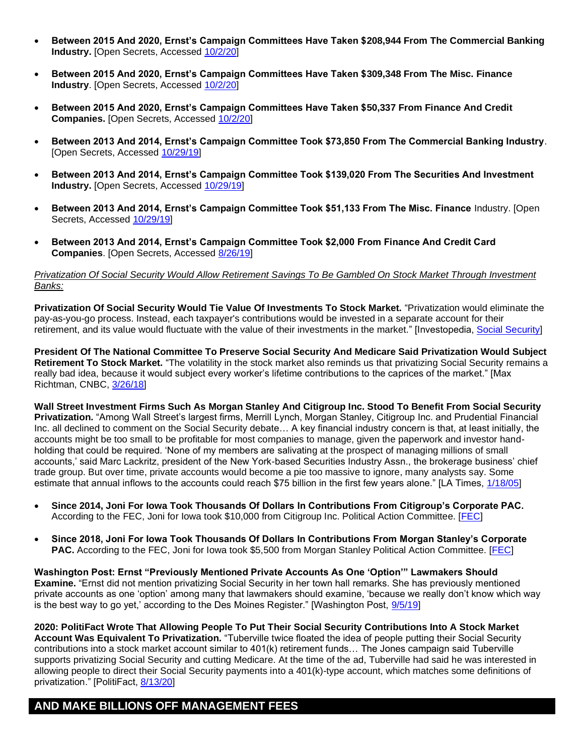- **Between 2015 And 2020, Ernst's Campaign Committees Have Taken \$208,944 From The Commercial Banking Industry.** [Open Secrets, Accessed [10/2/20\]](https://www.opensecrets.org/members-of-congress/industries?cid=N00035483&cycle=2020&recs=0&type=C)
- **Between 2015 And 2020, Ernst's Campaign Committees Have Taken \$309,348 From The Misc. Finance Industry**. [Open Secrets, Accessed [10/2/20\]](https://www.opensecrets.org/members-of-congress/industries?cid=N00035483&cycle=2020&recs=0&type=C)
- **Between 2015 And 2020, Ernst's Campaign Committees Have Taken \$50,337 From Finance And Credit Companies.** [Open Secrets, Accessed [10/2/20\]](https://www.opensecrets.org/members-of-congress/industries?cid=N00035483&cycle=2020&recs=0&type=C)
- **Between 2013 And 2014, Ernst's Campaign Committee Took \$73,850 From The Commercial Banking Industry**. [Open Secrets, Accessed [10/29/19\]](https://www.opensecrets.org/races/industries?cycle=2014&id=IAS2&spec=N)
- **Between 2013 And 2014, Ernst's Campaign Committee Took \$139,020 From The Securities And Investment Industry.** [Open Secrets, Accessed [10/29/19\]](https://www.opensecrets.org/races/industries?cycle=2014&id=IAS2&spec=N)
- **Between 2013 And 2014, Ernst's Campaign Committee Took \$51,133 From The Misc. Finance** Industry. [Open Secrets, Accessed [10/29/19\]](https://www.opensecrets.org/races/industries?cycle=2014&id=IAS2&spec=N)
- **Between 2013 And 2014, Ernst's Campaign Committee Took \$2,000 From Finance And Credit Card Companies**. [Open Secrets, Accessed [8/26/19\]](https://www.opensecrets.org/industries/summary.php?ind=F06&recipdetail=S&sortorder=A&mem=N&cycle=2014)

#### *Privatization Of Social Security Would Allow Retirement Savings To Be Gambled On Stock Market Through Investment Banks:*

**Privatization Of Social Security Would Tie Value Of Investments To Stock Market.** "Privatization would eliminate the pay-as-you-go process. Instead, each taxpayer's contributions would be invested in a separate account for their retirement, and its value would fluctuate with the value of their investments in the market." [Investopedia, [Social Security\]](https://www.investopedia.com/ask/answers/040715/what-would-privatized-social-security-mean-americans.asp)

**President Of The National Committee To Preserve Social Security And Medicare Said Privatization Would Subject Retirement To Stock Market.** "The volatility in the stock market also reminds us that privatizing Social Security remains a really bad idea, because it would subject every worker's lifetime contributions to the caprices of the market." [Max Richtman, CNBC, [3/26/18\]](https://www.cnbc.com/2018/03/26/privatization-is-really-a-plan-to-dismantle-social-security.html)

**Wall Street Investment Firms Such As Morgan Stanley And Citigroup Inc. Stood To Benefit From Social Security Privatization.** "Among Wall Street's largest firms, Merrill Lynch, Morgan Stanley, Citigroup Inc. and Prudential Financial Inc. all declined to comment on the Social Security debate... A key financial industry concern is that, at least initially, the accounts might be too small to be profitable for most companies to manage, given the paperwork and investor handholding that could be required. 'None of my members are salivating at the prospect of managing millions of small accounts,' said Marc Lackritz, president of the New York-based Securities Industry Assn., the brokerage business' chief trade group. But over time, private accounts would become a pie too massive to ignore, many analysts say. Some estimate that annual inflows to the accounts could reach \$75 billion in the first few years alone." [LA Times,  $1/18/05$ ]

- **Since 2014, Joni For Iowa Took Thousands Of Dollars In Contributions From Citigroup's Corporate PAC.**  According to the FEC, Joni for Iowa took \$10,000 from Citigroup Inc. Political Action Committee. [\[FEC\]](https://www.fec.gov/data/disbursements/?spender_committee_org_type=C&spender_committee_org_type=W&data_type=processed&committee_id=C00008474&recipient_name=C00546788)
- **Since 2018, Joni For Iowa Took Thousands Of Dollars In Contributions From Morgan Stanley's Corporate**  PAC. According to the FEC, Joni for Iowa took \$5,500 from Morgan Stanley Political Action Committee. [\[FEC\]](https://www.fec.gov/data/disbursements/?spender_committee_org_type=C&spender_committee_org_type=W&data_type=processed&committee_id=C00337626&recipient_name=C00546788)

**Washington Post: Ernst "Previously Mentioned Private Accounts As One 'Option'" Lawmakers Should Examine.** "Ernst did not mention privatizing Social Security in her town hall remarks. She has previously mentioned private accounts as one 'option' among many that lawmakers should examine, 'because we really don't know which way is the best way to go yet,' according to the Des Moines Register." [Washington Post, [9/5/19\]](https://www.washingtonpost.com/politics/sen-ernst-says-lawmakers-should-discuss-fixing-social-security-behind-closed-doors/2019/09/05/b678c428-cfec-11e9-b29b-a528dc82154a_story.html)

**2020: PolitiFact Wrote That Allowing People To Put Their Social Security Contributions Into A Stock Market Account Was Equivalent To Privatization.** "Tuberville twice floated the idea of people putting their Social Security contributions into a stock market account similar to 401(k) retirement funds… The Jones campaign said Tuberville supports privatizing Social Security and cutting Medicare. At the time of the ad, Tuberville had said he was interested in allowing people to direct their Social Security payments into a 401(k)-type account, which matches some definitions of privatization." [PolitiFact, [8/13/20\]](https://www.politifact.com/factchecks/2020/aug/13/doug-jones/doug-jones-misleads-about-tommy-tubervilles-positi/)

# **AND MAKE BILLIONS OFF MANAGEMENT FEES**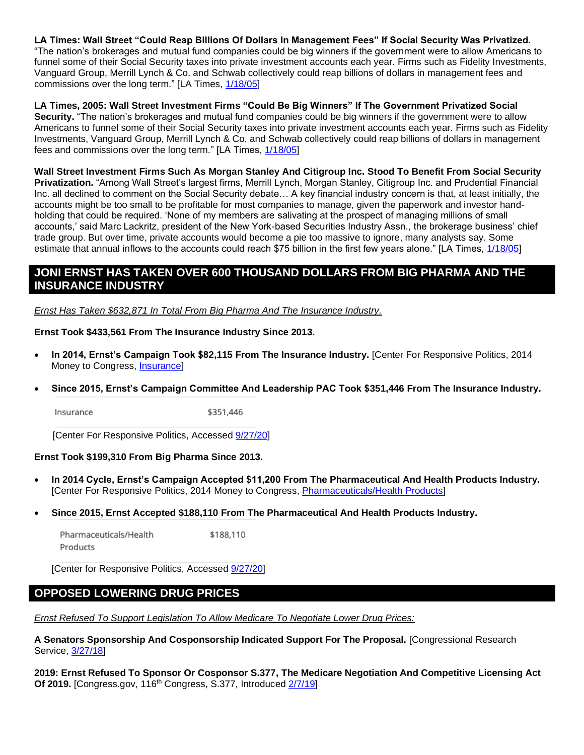**LA Times: Wall Street "Could Reap Billions Of Dollars In Management Fees" If Social Security Was Privatized.**  "The nation's brokerages and mutual fund companies could be big winners if the government were to allow Americans to funnel some of their Social Security taxes into private investment accounts each year. Firms such as Fidelity Investments, Vanguard Group, Merrill Lynch & Co. and Schwab collectively could reap billions of dollars in management fees and commissions over the long term." [LA Times, [1/18/05\]](https://www.latimes.com/la-fi-wallstreet18jan1805-story.html)

**LA Times, 2005: Wall Street Investment Firms "Could Be Big Winners" If The Government Privatized Social Security.** "The nation's brokerages and mutual fund companies could be big winners if the government were to allow Americans to funnel some of their Social Security taxes into private investment accounts each year. Firms such as Fidelity Investments, Vanguard Group, Merrill Lynch & Co. and Schwab collectively could reap billions of dollars in management fees and commissions over the long term." [LA Times, [1/18/05\]](https://www.latimes.com/la-fi-wallstreet18jan1805-story.html)

**Wall Street Investment Firms Such As Morgan Stanley And Citigroup Inc. Stood To Benefit From Social Security Privatization.** "Among Wall Street's largest firms, Merrill Lynch, Morgan Stanley, Citigroup Inc. and Prudential Financial Inc. all declined to comment on the Social Security debate… A key financial industry concern is that, at least initially, the accounts might be too small to be profitable for most companies to manage, given the paperwork and investor handholding that could be required. 'None of my members are salivating at the prospect of managing millions of small accounts,' said Marc Lackritz, president of the New York-based Securities Industry Assn., the brokerage business' chief trade group. But over time, private accounts would become a pie too massive to ignore, many analysts say. Some estimate that annual inflows to the accounts could reach \$75 billion in the first few years alone." [LA Times,  $1/18/05$ ]

## **JONI ERNST HAS TAKEN OVER 600 THOUSAND DOLLARS FROM BIG PHARMA AND THE INSURANCE INDUSTRY**

*Ernst Has Taken \$632,871 In Total From Big Pharma And The Insurance Industry.*

#### **Ernst Took \$433,561 From The Insurance Industry Since 2013.**

- **In 2014, Ernst's Campaign Took \$82,115 From The Insurance Industry.** [Center For Responsive Politics, 2014 Money to Congress, [Insurance\]](https://www.opensecrets.org/industries/summary.php?ind=f09&cycle=2014&recipdetail=S&mem=N)
- **Since 2015, Ernst's Campaign Committee And Leadership PAC Took \$351,446 From The Insurance Industry.**

Insurance \$351,446

[Center For Responsive Politics, Accessed [9/27/20\]](https://www.opensecrets.org/members-of-congress/industries?cid=N00035483&cycle=2020&recs=0&type=C)

#### **Ernst Took \$199,310 From Big Pharma Since 2013.**

- **In 2014 Cycle, Ernst's Campaign Accepted \$11,200 From The Pharmaceutical And Health Products Industry.**  [Center For Responsive Politics, 2014 Money to Congress, [Pharmaceuticals/Health Products\]](https://www.opensecrets.org/industries/summary.php?ind=h04&recipdetail=S&sortorder=A&mem=N&cycle=2014)
- **Since 2015, Ernst Accepted \$188,110 From The Pharmaceutical And Health Products Industry.**

Pharmaceuticals/Health \$188,110 Products

[Center for Responsive Politics, Accessed [9/27/20\]](https://www.opensecrets.org/members-of-congress/industries?cid=N00035483&cycle=2020&recs=0&type=C)

## **OPPOSED LOWERING DRUG PRICES**

*Ernst Refused To Support Legislation To Allow Medicare To Negotiate Lower Drug Prices:*

**A Senators Sponsorship And Cosponsorship Indicated Support For The Proposal.** [Congressional Research Service, [3/27/18\]](https://fas.org/sgp/crs/misc/98-279.pdf)

**2019: Ernst Refused To Sponsor Or Cosponsor S.377, The Medicare Negotiation And Competitive Licensing Act Of 2019.** [Congress.gov, 116<sup>th</sup> Congress, S.377, Introduced [2/7/19\]](https://www.congress.gov/bill/116th-congress/senate-bill/377/cosponsors?searchResultViewType=expanded)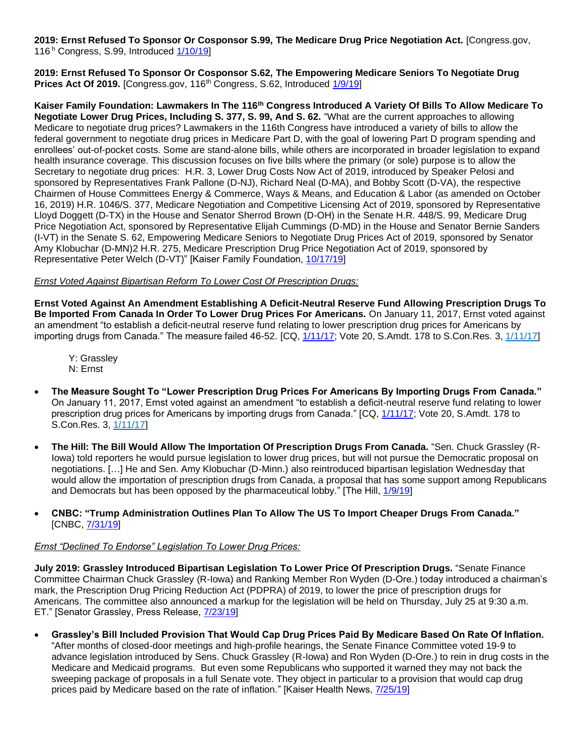**2019: Ernst Refused To Sponsor Or Cosponsor S.99, The Medicare Drug Price Negotiation Act.** [Congress.gov, 116<sup>h</sup> Congress, S.99, Introduced [1/10/19\]](https://www.congress.gov/bill/116th-congress/senate-bill/99/cosponsors?searchResultViewType=expanded)

**2019: Ernst Refused To Sponsor Or Cosponsor S.62, The Empowering Medicare Seniors To Negotiate Drug Prices Act Of 2019.** [Congress.gov, 116<sup>th</sup> Congress, S.62, Introduced [1/9/19\]](https://www.congress.gov/bill/116th-congress/senate-bill/62/cosponsors?q=%7b%22search%22:%5b%22actionCode:/%228000/%22+and+(billIsReserved:/%22N/%22+or+type:/%22AMENDMENT/%22)%22%5d%7d&r=377&s=1&searchResultViewType=expanded)

**Kaiser Family Foundation: Lawmakers In The 116th Congress Introduced A Variety Of Bills To Allow Medicare To Negotiate Lower Drug Prices, Including S. 377, S. 99, And S. 62.** "What are the current approaches to allowing Medicare to negotiate drug prices? Lawmakers in the 116th Congress have introduced a variety of bills to allow the federal government to negotiate drug prices in Medicare Part D, with the goal of lowering Part D program spending and enrollees' out-of-pocket costs. Some are stand-alone bills, while others are incorporated in broader legislation to expand health insurance coverage. This discussion focuses on five bills where the primary (or sole) purpose is to allow the Secretary to negotiate drug prices: H.R. 3, Lower Drug Costs Now Act of 2019, introduced by Speaker Pelosi and sponsored by Representatives Frank Pallone (D-NJ), Richard Neal (D-MA), and Bobby Scott (D-VA), the respective Chairmen of House Committees Energy & Commerce, Ways & Means, and Education & Labor (as amended on October 16, 2019) H.R. 1046/S. 377, Medicare Negotiation and Competitive Licensing Act of 2019, sponsored by Representative Lloyd Doggett (D-TX) in the House and Senator Sherrod Brown (D-OH) in the Senate H.R. 448/S. 99, Medicare Drug Price Negotiation Act, sponsored by Representative Elijah Cummings (D-MD) in the House and Senator Bernie Sanders (I-VT) in the Senate S. 62, Empowering Medicare Seniors to Negotiate Drug Prices Act of 2019, sponsored by Senator Amy Klobuchar (D-MN)2 H.R. 275, Medicare Prescription Drug Price Negotiation Act of 2019, sponsored by Representative Peter Welch (D-VT)" [Kaiser Family Foundation, [10/17/19\]](https://www.kff.org/medicare/issue-brief/whats-the-latest-on-medicare-drug-price-negotiations/)

#### *Ernst Voted Against Bipartisan Reform To Lower Cost Of Prescription Drugs:*

**Ernst Voted Against An Amendment Establishing A Deficit-Neutral Reserve Fund Allowing Prescription Drugs To Be Imported From Canada In Order To Lower Drug Prices For Americans.** On January 11, 2017, Ernst voted against an amendment "to establish a deficit-neutral reserve fund relating to lower prescription drug prices for Americans by importing drugs from Canada." The measure failed 46-52. [CQ, [1/11/17;](https://plus.cq.com/doc/floorvote-260044000?4) Vote 20, S.Amdt. 178 to S.Con.Res. 3, [1/11/17\]](https://www.senate.gov/legislative/LIS/roll_call_lists/roll_call_vote_cfm.cfm?congress=115&session=1&vote=00020)

Y: Grassley N: Ernst

- **The Measure Sought To "Lower Prescription Drug Prices For Americans By Importing Drugs From Canada."**  On January 11, 2017, Ernst voted against an amendment "to establish a deficit-neutral reserve fund relating to lower prescription drug prices for Americans by importing drugs from Canada." [CQ, [1/11/17;](https://plus.cq.com/doc/floorvote-260044000?4) Vote 20, S.Amdt. 178 to S.Con.Res. 3, [1/11/17\]](https://www.senate.gov/legislative/LIS/roll_call_lists/roll_call_vote_cfm.cfm?congress=115&session=1&vote=00020)
- **The Hill: The Bill Would Allow The Importation Of Prescription Drugs From Canada.** "Sen. Chuck Grassley (R-Iowa) told reporters he would pursue legislation to lower drug prices, but will not pursue the Democratic proposal on negotiations. […] He and Sen. Amy Klobuchar (D-Minn.) also reintroduced bipartisan legislation Wednesday that would allow the importation of prescription drugs from Canada, a proposal that has some support among Republicans and Democrats but has been opposed by the pharmaceutical lobby." [The Hill, [1/9/19\]](https://thehill.com/policy/healthcare/medicare/424623-grassley-says-not-in-favor-of-government-negotiating-with)

#### • **CNBC: "Trump Administration Outlines Plan To Allow The US To Import Cheaper Drugs From Canada."**  [CNBC[, 7/31/19\]](https://www.cnbc.com/2019/07/31/trump-outlines-plan-to-allow-the-us-to-import-cheaper-drugs-from-canada.html)

#### *Ernst "Declined To Endorse" Legislation To Lower Drug Prices:*

**July 2019: Grassley Introduced Bipartisan Legislation To Lower Price Of Prescription Drugs.** "Senate Finance Committee Chairman Chuck Grassley (R-Iowa) and Ranking Member Ron Wyden (D-Ore.) today introduced a chairman's mark, the Prescription Drug Pricing Reduction Act (PDPRA) of 2019, to lower the price of prescription drugs for Americans. The committee also announced a markup for the legislation will be held on Thursday, July 25 at 9:30 a.m. ET." [Senator Grassley, Press Release, [7/23/19\]](https://www.grassley.senate.gov/news/news-releases/grassley-wyden-introduce-major-prescription-drug-pricing-reform-lower-costs)

• **Grassley's Bill Included Provision That Would Cap Drug Prices Paid By Medicare Based On Rate Of Inflation.**  "After months of closed-door meetings and high-profile hearings, the Senate Finance Committee voted 19-9 to advance legislation introduced by Sens. Chuck Grassley (R-Iowa) and Ron Wyden (D-Ore.) to rein in drug costs in the Medicare and Medicaid programs. But even some Republicans who supported it warned they may not back the sweeping package of proposals in a full Senate vote. They object in particular to a provision that would cap drug prices paid by Medicare based on the rate of inflation." [Kaiser Health News, [7/25/19\]](https://khn.org/news/gop-senators-distance-themselves-from-grassley-and-trumps-efforts-to-cut-drug-prices/)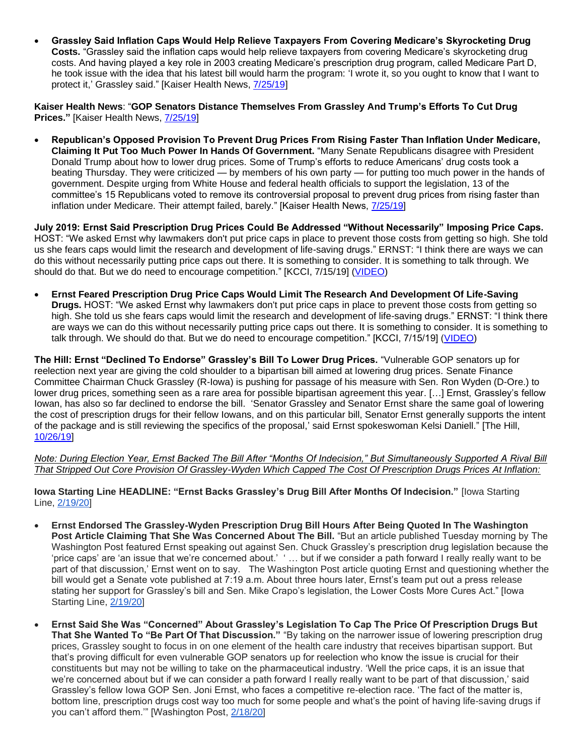• **Grassley Said Inflation Caps Would Help Relieve Taxpayers From Covering Medicare's Skyrocketing Drug Costs.** "Grassley said the inflation caps would help relieve taxpayers from covering Medicare's skyrocketing drug costs. And having played a key role in 2003 creating Medicare's prescription drug program, called Medicare Part D, he took issue with the idea that his latest bill would harm the program: 'I wrote it, so you ought to know that I want to protect it,' Grassley said." [Kaiser Health News, [7/25/19\]](https://khn.org/news/gop-senators-distance-themselves-from-grassley-and-trumps-efforts-to-cut-drug-prices/)

**Kaiser Health News**: "**GOP Senators Distance Themselves From Grassley And Trump's Efforts To Cut Drug Prices."** [Kaiser Health News, [7/25/19\]](https://khn.org/news/gop-senators-distance-themselves-from-grassley-and-trumps-efforts-to-cut-drug-prices/)

• **Republican's Opposed Provision To Prevent Drug Prices From Rising Faster Than Inflation Under Medicare, Claiming It Put Too Much Power In Hands Of Government.** "Many Senate Republicans disagree with President Donald Trump about how to lower drug prices. Some of Trump's efforts to reduce Americans' drug costs took a beating Thursday. They were criticized — by members of his own party — for putting too much power in the hands of government. Despite urging from White House and federal health officials to support the legislation, 13 of the committee's 15 Republicans voted to remove its controversial proposal to prevent drug prices from rising faster than inflation under Medicare. Their attempt failed, barely." [Kaiser Health News, [7/25/19\]](https://khn.org/news/gop-senators-distance-themselves-from-grassley-and-trumps-efforts-to-cut-drug-prices/)

**July 2019: Ernst Said Prescription Drug Prices Could Be Addressed "Without Necessarily" Imposing Price Caps.**  HOST: "We asked Ernst why lawmakers don't put price caps in place to prevent those costs from getting so high. She told us she fears caps would limit the research and development of life-saving drugs." ERNST: "I think there are ways we can do this without necessarily putting price caps out there. It is something to consider. It is something to talk through. We should do that. But we do need to encourage competition." [KCCI, 7/15/19] [\(VIDEO\)](http://mms.tveyes.com/MediaCenterPlayer.aspx?u=aHR0cDovL21lZGlhY2VudGVyLnR2ZXllcy5jb20vZG93bmxvYWRnYXRld2F5LmFzcHg%2FVXNlcklEPTc4OTM5NCZNRElEPTExOTUzNjQxJk1EU2VlZD0yMjU1JlR5cGU9TWVkaWE%3D)

• **Ernst Feared Prescription Drug Price Caps Would Limit The Research And Development Of Life-Saving Drugs.** HOST: "We asked Ernst why lawmakers don't put price caps in place to prevent those costs from getting so high. She told us she fears caps would limit the research and development of life-saving drugs." ERNST: "I think there are ways we can do this without necessarily putting price caps out there. It is something to consider. It is something to talk through. We should do that. But we do need to encourage competition." [KCCI, 7/15/19] [\(VIDEO\)](http://mms.tveyes.com/MediaCenterPlayer.aspx?u=aHR0cDovL21lZGlhY2VudGVyLnR2ZXllcy5jb20vZG93bmxvYWRnYXRld2F5LmFzcHg%2FVXNlcklEPTc4OTM5NCZNRElEPTExOTUzNjQxJk1EU2VlZD0yMjU1JlR5cGU9TWVkaWE%3D)

**The Hill: Ernst "Declined To Endorse" Grassley's Bill To Lower Drug Prices.** "Vulnerable GOP senators up for reelection next year are giving the cold shoulder to a bipartisan bill aimed at lowering drug prices. Senate Finance Committee Chairman Chuck Grassley (R-Iowa) is pushing for passage of his measure with Sen. Ron Wyden (D-Ore.) to lower drug prices, something seen as a rare area for possible bipartisan agreement this year. […] Ernst, Grassley's fellow Iowan, has also so far declined to endorse the bill. 'Senator Grassley and Senator Ernst share the same goal of lowering the cost of prescription drugs for their fellow Iowans, and on this particular bill, Senator Ernst generally supports the intent of the package and is still reviewing the specifics of the proposal,' said Ernst spokeswoman Kelsi Daniell." [The Hill, [10/26/19\]](https://thehill.com/policy/healthcare/467531-vulnerable-republicans-balk-at-trump-backed-drug-pricing-bill)

*Note: During Election Year, Ernst Backed The Bill After "Months Of Indecision," But Simultaneously Supported A Rival Bill That Stripped Out Core Provision Of Grassley-Wyden Which Capped The Cost Of Prescription Drugs Prices At Inflation:*

**Iowa Starting Line HEADLINE: "Ernst Backs Grassley's Drug Bill After Months Of Indecision."** [Iowa Starting Line, [2/19/20\]](https://iowastartingline.com/2020/02/19/ernst-backs-grassleys-drug-bill-after-months-of-indecision/)

- **Ernst Endorsed The Grassley-Wyden Prescription Drug Bill Hours After Being Quoted In The Washington Post Article Claiming That She Was Concerned About The Bill.** "But an article published Tuesday morning by The Washington Post featured Ernst speaking out against Sen. Chuck Grassley's prescription drug legislation because the 'price caps' are 'an issue that we're concerned about.' ' … but if we consider a path forward I really really want to be part of that discussion,' Ernst went on to say. The Washington Post article quoting Ernst and questioning whether the bill would get a Senate vote published at 7:19 a.m. About three hours later, Ernst's team put out a press release stating her support for Grassley's bill and Sen. Mike Crapo's legislation, the Lower Costs More Cures Act." [Iowa Starting Line, [2/19/20\]](https://iowastartingline.com/2020/02/19/ernst-backs-grassleys-drug-bill-after-months-of-indecision/)
- **Ernst Said She Was "Concerned" About Grassley's Legislation To Cap The Price Of Prescription Drugs But That She Wanted To "Be Part Of That Discussion."** "By taking on the narrower issue of lowering prescription drug prices, Grassley sought to focus in on one element of the health care industry that receives bipartisan support. But that's proving difficult for even vulnerable GOP senators up for reelection who know the issue is crucial for their constituents but may not be willing to take on the pharmaceutical industry. 'Well the price caps, it is an issue that we're concerned about but if we can consider a path forward I really really want to be part of that discussion,' said Grassley's fellow Iowa GOP Sen. Joni Ernst, who faces a competitive re-election race. 'The fact of the matter is, bottom line, prescription drugs cost way too much for some people and what's the point of having life-saving drugs if you can't afford them.'" [Washington Post, [2/18/20\]](https://www.washingtonpost.com/health/2020/02/18/trumps-support-bipartisan-senate-drug-pricing-bill-might-not-be-enough-push-it-into-law/)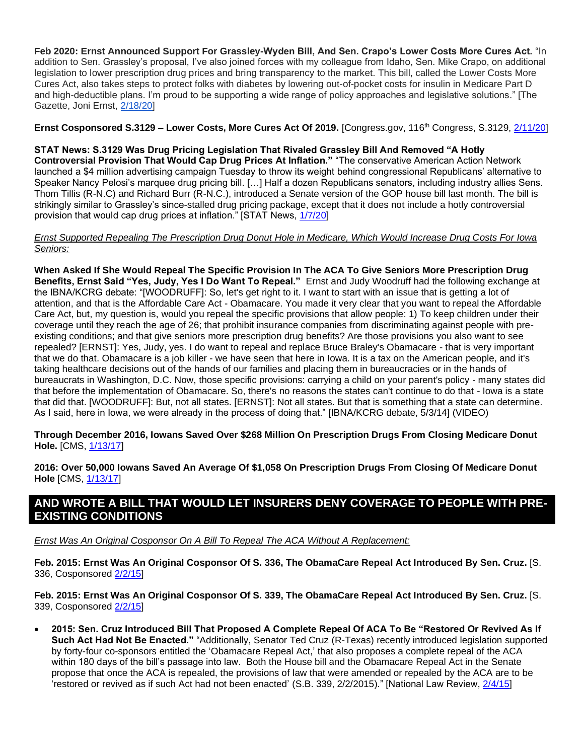**Feb 2020: Ernst Announced Support For Grassley-Wyden Bill, And Sen. Crapo's Lower Costs More Cures Act.** "In addition to Sen. Grassley's proposal, I've also joined forces with my colleague from Idaho, Sen. Mike Crapo, on additional legislation to lower prescription drug prices and bring transparency to the market. This bill, called the Lower Costs More Cures Act, also takes steps to protect folks with diabetes by lowering out-of-pocket costs for insulin in Medicare Part D and high-deductible plans. I'm proud to be supporting a wide range of policy approaches and legislative solutions." [The Gazette, Joni Ernst, [2/18/20\]](https://www.thegazette.com/subject/opinion/guest-columnist/ernst-lower-prescription-drug-costs-work-together-toward-solutions-20200218)

**Ernst Cosponsored S.3129 - Lower Costs, More Cures Act Of 2019. [Congress.gov, 116<sup>th</sup> Congress, S.3129, [2/11/20\]](https://www.congress.gov/bill/116th-congress/senate-bill/3129/cosponsors?r=1&s=1&searchResultViewType=expanded&KWICView=false)** 

#### **STAT News: S.3129 Was Drug Pricing Legislation That Rivaled Grassley Bill And Removed "A Hotly**

**Controversial Provision That Would Cap Drug Prices At Inflation."** "The conservative American Action Network launched a \$4 million advertising campaign Tuesday to throw its weight behind congressional Republicans' alternative to Speaker Nancy Pelosi's marquee drug pricing bill. […] Half a dozen Republicans senators, including industry allies Sens. Thom Tillis (R-N.C) and Richard Burr (R-N.C.), introduced a Senate version of the GOP house bill last month. The bill is strikingly similar to Grassley's since-stalled drug pricing package, except that it does not include a hotly controversial provision that would cap drug prices at inflation." [STAT News, [1/7/20\]](https://www.statnews.com/2020/01/07/american-action-network-backs-limited-drug-pricing-reform/)

#### *Ernst Supported Repealing The Prescription Drug Donut Hole in Medicare, Which Would Increase Drug Costs For Iowa Seniors:*

**When Asked If She Would Repeal The Specific Provision In The ACA To Give Seniors More Prescription Drug Benefits, Ernst Said "Yes, Judy, Yes I Do Want To Repeal."** Ernst and Judy Woodruff had the following exchange at the IBNA/KCRG debate: "[WOODRUFF]: So, let's get right to it. I want to start with an issue that is getting a lot of attention, and that is the Affordable Care Act - Obamacare. You made it very clear that you want to repeal the Affordable Care Act, but, my question is, would you repeal the specific provisions that allow people: 1) To keep children under their coverage until they reach the age of 26; that prohibit insurance companies from discriminating against people with preexisting conditions; and that give seniors more prescription drug benefits? Are those provisions you also want to see repealed? [ERNST]: Yes, Judy, yes. I do want to repeal and replace Bruce Braley's Obamacare - that is very important that we do that. Obamacare is a job killer - we have seen that here in Iowa. It is a tax on the American people, and it's taking healthcare decisions out of the hands of our families and placing them in bureaucracies or in the hands of bureaucrats in Washington, D.C. Now, those specific provisions: carrying a child on your parent's policy - many states did that before the implementation of Obamacare. So, there's no reasons the states can't continue to do that - Iowa is a state that did that. [WOODRUFF]: But, not all states. [ERNST]: Not all states. But that is something that a state can determine. As I said, here in Iowa, we were already in the process of doing that." [IBNA/KCRG debate, 5/3/14] (VIDEO)

**Through December 2016, Iowans Saved Over \$268 Million On Prescription Drugs From Closing Medicare Donut Hole.** [CMS, [1/13/17\]](https://www.cms.gov/newsroom/press-releases/nearly-12-million-people-medicare-have-saved-over-26-billion-prescription-drugs-2010)

**2016: Over 50,000 Iowans Saved An Average Of \$1,058 On Prescription Drugs From Closing Of Medicare Donut Hole** [CMS, [1/13/17\]](https://www.cms.gov/newsroom/press-releases/nearly-12-million-people-medicare-have-saved-over-26-billion-prescription-drugs-2010)

# **AND WROTE A BILL THAT WOULD LET INSURERS DENY COVERAGE TO PEOPLE WITH PRE-EXISTING CONDITIONS**

*Ernst Was An Original Cosponsor On A Bill To Repeal The ACA Without A Replacement:*

**Feb. 2015: Ernst Was An Original Cosponsor Of S. 336, The ObamaCare Repeal Act Introduced By Sen. Cruz.** [S. 336, Cosponsored [2/2/15\]](https://www.congress.gov/bill/114th-congress/senate-bill/336/cosponsors?r=74&s=3)

**Feb. 2015: Ernst Was An Original Cosponsor Of S. 339, The ObamaCare Repeal Act Introduced By Sen. Cruz.** [S. 339, Cosponsored [2/2/15\]](https://www.congress.gov/bill/114th-congress/senate-bill/339/cosponsors?q=%7b%22search%22:%5b%22S.339%22%5d%7d&r=1&s=2&searchResultViewType=expanded)

• **2015: Sen. Cruz Introduced Bill That Proposed A Complete Repeal Of ACA To Be "Restored Or Revived As If Such Act Had Not Be Enacted."** "Additionally, Senator Ted Cruz (R-Texas) recently introduced legislation supported by forty-four co-sponsors entitled the 'Obamacare Repeal Act,' that also proposes a complete repeal of the ACA within 180 days of the bill's passage into law. Both the House bill and the Obamacare Repeal Act in the Senate propose that once the ACA is repealed, the provisions of law that were amended or repealed by the ACA are to be 'restored or revived as if such Act had not been enacted' (S.B. 339, 2/2/2015)." [National Law Review, [2/4/15\]](https://www.natlawreview.com/article/house-passes-new-bill-aimed-repeal-affordable-care-act)